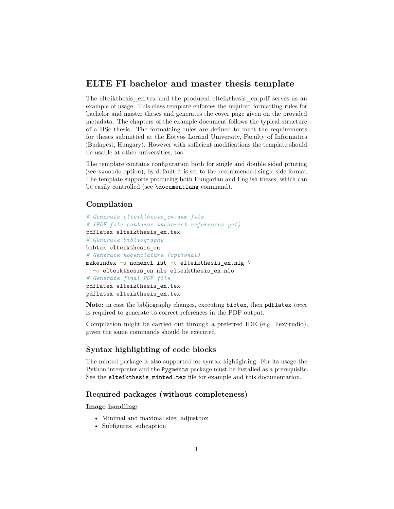# **ELTE FI bachelor and master thesis template**

The [elteikthesis\\_en.tex](elteikthesis_en.tex) and the produced [elteikthesis\\_en.pdf](elteikthesis_en.pdf) serves as an example of usage. This class template enforces the required formatting rules for bachelor and master theses and generates the cover page given on the provided metadata. The chapters of the example document follows the typical structure of a BSc thesis. The formatting rules are defined to meet the requirements for theses submitted at the Eötvös Loránd University, Faculty of Informatics (Budapest, Hungary). However with sufficient modifications the template should be usable at other universities, too.

The template contains configuration both for single and double sided printing (see twoside option), by default it is set to the recommended single side format. The template supports producing both Hungarian and English theses, which can be easily controlled (see \documentlang command).

# **Compilation**

```
# Generate elteikthesis_en.aux file
# (PDF file contains incorrect references yet)
pdflatex elteikthesis_en.tex
# Generate bibliography
bibtex elteikthesis_en
# Generate nomenclature (optional)
makeindex -s nomencl.ist -t elteikthesis en.nlg \
  -o elteikthesis_en.nls elteikthesis_en.nlo
# Generate final PDF file
pdflatex elteikthesis_en.tex
pdflatex elteikthesis_en.tex
```
**Note:** in case the bibliography changes, executing bibtex, then pdflatex *twice* is required to generate to correct references in the PDF output.

Compilation might be carried out through a preferred IDE (e.g. [TexStudio\)](https://www.texstudio.org/), given the same commands should be executed.

# **Syntax highlighting of code blocks**

The minted package is also supported for syntax highlighting. For its usage the Python interpreter and the Pygments package must be installed as a prerequisite. See the elteikthesis\_minted.tex file for example and this [documentation.](https://www.overleaf.com/learn/latex/Code_Highlighting_with_minted)

# **Required packages (without completeness)**

**Image handling:**

- Minimal and maximal size: [adjustbox](https://ctan.org/pkg/adjustbox)
- Subfigures: [subcaption](https://ctan.org/pkg/subcaption)